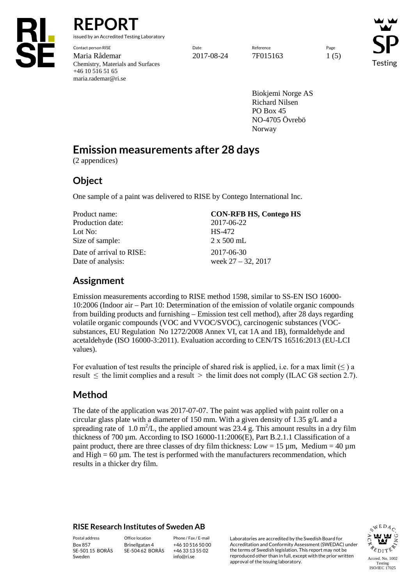

**REPORT**

issued by an Accredited Testing Laboratory

Contact person RISE Page Reference Reference Reference Page Reference Page Reference Page Reference Reference Page Maria Rådemar 15 1 (5) 2017-08-24 7F015163 1 (5) Chemistry, Materials and Surfaces +46 10 516 51 65 maria.rademar@ri.se

Testing

Biokjemi Norge AS Richard Nilsen PO Box 45 NO-4705 Övrebö Norway

# **Emission measurements after 28 days**

(2 appendices)

### **Object**

One sample of a paint was delivered to RISE by Contego International Inc.

| Product name:                                 | <b>CON-RFB HS, Contego HS</b>       |
|-----------------------------------------------|-------------------------------------|
| Production date:                              | 2017-06-22                          |
| Lot No:                                       | HS-472                              |
| Size of sample:                               | $2 \times 500$ mL                   |
| Date of arrival to RISE:<br>Date of analysis: | 2017-06-30<br>week $27 - 32$ , 2017 |

## **Assignment**

Emission measurements according to RISE method 1598, similar to SS-EN ISO 16000- 10:2006 (Indoor air – Part 10: Determination of the emission of volatile organic compounds from building products and furnishing – Emission test cell method), after 28 days regarding volatile organic compounds (VOC and VVOC/SVOC), carcinogenic substances (VOCsubstances, EU Regulation No 1272/2008 Annex VI, cat 1A and 1B), formaldehyde and acetaldehyde (ISO 16000-3:2011). Evaluation according to CEN/TS 16516:2013 (EU-LCI values).

For evaluation of test results the principle of shared risk is applied, i.e. for a max limit  $(\leq)$  a result  $\leq$  the limit complies and a result  $>$  the limit does not comply (ILAC G8 section 2.7).

# **Method**

The date of the application was 2017-07-07. The paint was applied with paint roller on a circular glass plate with a diameter of 150 mm. With a given density of 1.35 g/L and a spreading rate of 1.0 m<sup>2</sup>/L, the applied amount was 23.4 g. This amount results in a dry film thickness of 700 µm. According to ISO 16000-11:2006(E), Part B.2.1.1 Classification of a paint product, there are three classes of dry film thickness: Low =  $15 \mu m$ , Medium =  $40 \mu m$ and  $High = 60 \mu m$ . The test is performed with the manufacturers recommendation, which results in a thicker dry film.

### **RISE Research Institutes of Sweden AB**

Box 857 SE-501 15 BORÅS Sweden

Brinellgatan 4 SE-504 62 BORÅS

+46 10 516 50 00 +46 33 13 55 02 info@ri.se

Postal address Office location Phone / Fax / E-mail Laboratories are accredited by the Swedish Board for Accreditation and Conformity Assessment (SWEDAC) under the terms of Swedish legislation. This report may not be reproduced other than in full, except with the prior written approval of the issuing laboratory.

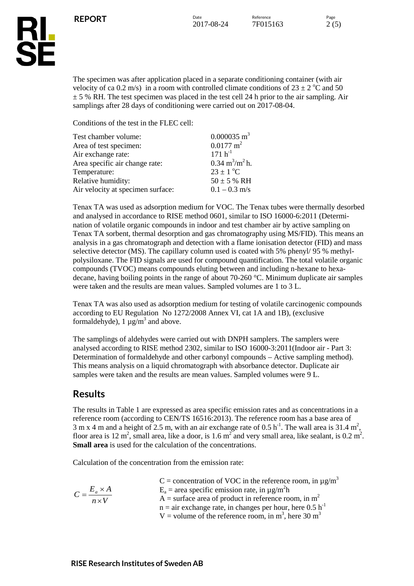

The specimen was after application placed in a separate conditioning container (with air velocity of ca 0.2 m/s) in a room with controlled climate conditions of  $23 \pm 2$  °C and 50  $\pm$  5 % RH. The test specimen was placed in the test cell 24 h prior to the air sampling. Air samplings after 28 days of conditioning were carried out on 2017-08-04.

Conditions of the test in the FLEC cell:

| Test chamber volume:              | $0.000035$ m <sup>3</sup>                |
|-----------------------------------|------------------------------------------|
| Area of test specimen:            | $0.0177 \text{ m}^2$                     |
| Air exchange rate:                | $171 h^{-1}$                             |
| Area specific air change rate:    | $0.34 \text{ m}^3/\text{m}^2 \text{h}$ . |
| Temperature:                      | $23 \pm 1$ °C                            |
| Relative humidity:                | $50 \pm 5$ % RH                          |
| Air velocity at specimen surface: | $0.1 - 0.3$ m/s                          |

Tenax TA was used as adsorption medium for VOC. The Tenax tubes were thermally desorbed and analysed in accordance to RISE method 0601, similar to ISO 16000-6:2011 (Determination of volatile organic compounds in indoor and test chamber air by active sampling on Tenax TA sorbent, thermal desorption and gas chromatography using MS/FID). This means an analysis in a gas chromatograph and detection with a flame ionisation detector (FID) and mass selective detector (MS). The capillary column used is coated with 5% phenyl/ 95 % methylpolysiloxane. The FID signals are used for compound quantification. The total volatile organic compounds (TVOC) means compounds eluting between and including n-hexane to hexadecane, having boiling points in the range of about 70-260 °C. Minimum duplicate air samples were taken and the results are mean values. Sampled volumes are 1 to 3 L.

Tenax TA was also used as adsorption medium for testing of volatile carcinogenic compounds according to EU Regulation No 1272/2008 Annex VI, cat 1A and 1B), (exclusive formaldehyde),  $1 \mu g/m^3$  and above.

The samplings of aldehydes were carried out with DNPH samplers. The samplers were analysed according to RISE method 2302, similar to ISO 16000-3:2011(Indoor air - Part 3: Determination of formaldehyde and other carbonyl compounds – Active sampling method). This means analysis on a liquid chromatograph with absorbance detector. Duplicate air samples were taken and the results are mean values. Sampled volumes were 9 L.

### **Results**

The results in Table 1 are expressed as area specific emission rates and as concentrations in a reference room (according to CEN/TS 16516:2013). The reference room has a base area of 3 m x 4 m and a height of 2.5 m, with an air exchange rate of 0.5 h<sup>-1</sup>. The wall area is 31.4 m<sup>2</sup>, floor area is 12 m<sup>2</sup>, small area, like a door, is 1.6 m<sup>2</sup> and very small area, like sealant, is 0.2 m<sup>2</sup>. **Small area** is used for the calculation of the concentrations.

Calculation of the concentration from the emission rate:

| $C = \frac{E_a \times A}{4}$ | C = concentration of VOC in the reference room, in $\mu$ g/m <sup>3</sup><br>$E_a$ = area specific emission rate, in $\mu$ g/m <sup>2</sup> h |
|------------------------------|-----------------------------------------------------------------------------------------------------------------------------------------------|
| $n \times V$                 | A = surface area of product in reference room, in $m2$                                                                                        |
|                              | $n =$ air exchange rate, in changes per hour, here 0.5 h <sup>-1</sup>                                                                        |
|                              | V = volume of the reference room, in m <sup>3</sup> , here 30 m <sup>3</sup>                                                                  |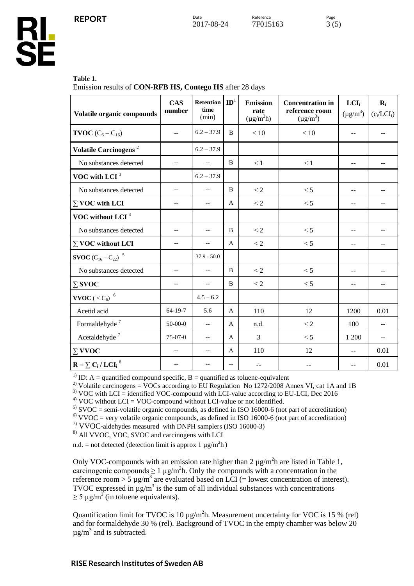### **Table 1.**

**RL<br>SE** 

Emission results of **CON-RFB HS, Contego HS** after 28 days

| Volatile organic compounds                      | <b>CAS</b><br>number     | <b>Retention</b><br>time<br>(min) | $\mathbf{ID}^1$          | <b>Emission</b><br>rate<br>$(\mu g/m^2 h)$ | <b>Concentration in</b><br>reference room<br>$(\mu g/m^3)$ | LCI <sub>i</sub><br>$(\mu g/m^3)$ | $\mathbf{R}_{i}$<br>$(c_i/LCI_i)$ |
|-------------------------------------------------|--------------------------|-----------------------------------|--------------------------|--------------------------------------------|------------------------------------------------------------|-----------------------------------|-----------------------------------|
| <b>TVOC</b> $(C_6 - C_{16})$                    | $\overline{\phantom{a}}$ | $6.2 - 37.9$                      | B                        | < 10                                       | < 10                                                       | --                                | --                                |
| Volatile Carcinogens <sup>2</sup>               |                          | $6.2 - 37.9$                      |                          |                                            |                                                            |                                   |                                   |
| No substances detected                          | $\overline{\phantom{m}}$ | $\overline{\phantom{a}}$          | B                        | < 1                                        | < 1                                                        | $-$                               | $-$                               |
| VOC with LCI $3$                                |                          | $6.2 - 37.9$                      |                          |                                            |                                                            |                                   |                                   |
| No substances detected                          | $-$                      | $\overline{a}$                    | B                        | < 2                                        | < 5                                                        | $-$                               |                                   |
| $\sum$ VOC with LCI                             | $-$                      | $\overline{\phantom{a}}$          | A                        | < 2                                        | < 5                                                        | --                                | $-1$                              |
| VOC without LCI <sup>4</sup>                    |                          |                                   |                          |                                            |                                                            |                                   |                                   |
| No substances detected                          | $-$                      | $-$                               | B                        | < 2                                        | < 5                                                        | --                                |                                   |
| $\Sigma$ VOC without LCI                        | --                       | $-$                               | $\mathbf{A}$             | $\rm < 2$                                  | < 5                                                        | --                                | --                                |
| <b>SVOC</b> $(C_{16} - C_{22})^{-5}$            |                          | $37.9 - 50.0$                     |                          |                                            |                                                            |                                   |                                   |
| No substances detected                          | $-$                      | $\overline{\phantom{a}}$          | B                        | $\rm < 2$                                  | < 5                                                        | $-$                               |                                   |
| $\Sigma$ SVOC                                   | $-$                      | $\overline{a}$                    | B                        | < 2                                        | < 5                                                        | --                                | --                                |
| <b>VVOC</b> ( $<$ C <sub>6</sub> ) <sup>6</sup> |                          | $4.5 - 6.2$                       |                          |                                            |                                                            |                                   |                                   |
| Acetid acid                                     | $64-19-7$                | 5.6                               | A                        | 110                                        | 12                                                         | 1200                              | 0.01                              |
| Formaldehyde <sup>7</sup>                       | $50-00-0$                | $\overline{a}$                    | A                        | n.d.                                       | < 2                                                        | 100                               | $-$                               |
| Acetaldehyde <sup>7</sup>                       | $75-07-0$                | $\overline{\phantom{a}}$          | A                        | 3                                          | < 5                                                        | 1 200                             | $-$                               |
| $\Sigma$ VVOC                                   |                          | $-$                               | A                        | 110                                        | 12                                                         | $-$                               | 0.01                              |
| $R = \sum C_i / LCI_i^8$                        |                          | $-$                               | $\overline{\phantom{a}}$ |                                            |                                                            |                                   | 0.01                              |

<sup>1)</sup> ID: A = quantified compound specific, B = quantified as toluene-equivalent<br><sup>2)</sup> Volatile carcinogens = VOCs according to EU Regulation No 1272/2008 Annex VI, cat 1A and 1B

<sup>3)</sup> VOC with LCI = identified VOC-compound with LCI-value according to EU-LCI, Dec 2016<br><sup>4)</sup> VOC without LCI = VOC-compound without LCI-value or not identified.<br><sup>5)</sup> SVOC = semi-volatile organic compounds, as defined in

7) VVOC-aldehydes measured with DNPH samplers (ISO 16000-3)

8) All VVOC, VOC, SVOC and carcinogens with LCI

n.d. = not detected (detection limit is approx  $1 \mu g/m^2 h$ )

Only VOC-compounds with an emission rate higher than  $2 \mu g/m^2 h$  are listed in Table 1, carcinogenic compounds  $\geq 1 \mu g/m^2 h$ . Only the compounds with a concentration in the reference room  $> 5 \mu g/m^3$  are evaluated based on LCI (= lowest concentration of interest). TVOC expressed in  $\mu$ g/m<sup>3</sup> is the sum of all individual substances with concentrations  $\geq$  5 µg/m<sup>3</sup> (in toluene equivalents).

Quantification limit for TVOC is 10  $\mu$ g/m<sup>2</sup>h. Measurement uncertainty for VOC is 15 % (rel) and for formaldehyde 30 % (rel). Background of TVOC in the empty chamber was below 20  $\mu$ g/m<sup>3</sup> and is subtracted.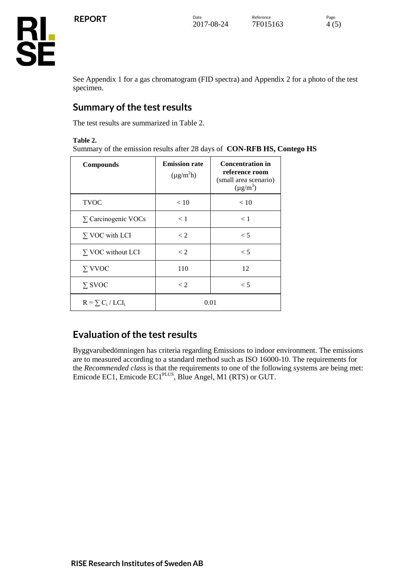

See Appendix 1 for a gas chromatogram (FID spectra) and Appendix 2 for a photo of the test specimen.

## **Summary of the test results**

The test results are summarized in Table 2.

### **Table 2.**

Summary of the emission results after 28 days of **CON-RFB HS, Contego HS**

| <b>Compounds</b>           | <b>Emission rate</b><br>$(\mu g/m^2 h)$ | <b>Concentration in</b><br>reference room<br>(small area scenario)<br>$(\mu g/m^3)$ |
|----------------------------|-----------------------------------------|-------------------------------------------------------------------------------------|
| <b>TVOC</b>                | < 10                                    | < 10                                                                                |
| $\Sigma$ Carcinogenic VOCs | < 1                                     | < 1                                                                                 |
| $\Sigma$ VOC with LCI      | $\lt 2$                                 | $\leq 5$                                                                            |
| $\Sigma$ VOC without LCI   | $\lt 2$                                 | $\leq 5$                                                                            |
| $\Sigma$ VVOC              | 110                                     | 12                                                                                  |
| $\Sigma$ SVOC              | $\lt 2$                                 | < 5                                                                                 |
| $R = \sum_{i} C_i / LCI_i$ |                                         | 0.01                                                                                |

# **Evaluation of the test results**

Byggvarubedömningen has criteria regarding Emissions to indoor environment. The emissions are to measured according to a standard method such as ISO 16000-10. The requirements for the *Recommended class* is that the requirements to one of the following systems are being met: Emicode EC1, Emicode EC1<sup>PLUS</sup>, Blue Angel, M1 (RTS) or GUT.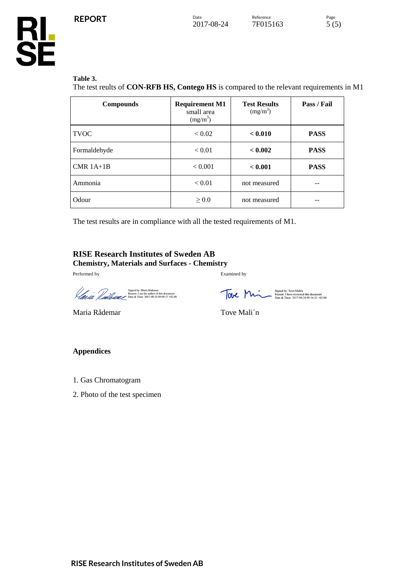#### **Table 3.**

**RL<br>SE** 

The test reults of **CON-RFB HS, Contego HS** is compared to the relevant requirements in M1

| <b>Compounds</b> | <b>Requirement M1</b><br>small area<br>$(mg/m^3)$ | <b>Test Results</b><br>$(mg/m^3)$ | Pass / Fail |
|------------------|---------------------------------------------------|-----------------------------------|-------------|
| <b>TVOC</b>      | < 0.02                                            | < 0.010                           | <b>PASS</b> |
| Formaldehyde     | < 0.01                                            | < 0.002                           | <b>PASS</b> |
| $CMR$ 1A+1B      | < 0.001                                           | < 0.001                           | <b>PASS</b> |
| Ammonia          | < 0.01                                            | not measured                      |             |
| Odour            | $\geq 0.0$                                        | not measured                      |             |

The test results are in compliance with all the tested requirements of M1.

#### **RISE Research Institutes of Sweden AB Chemistry, Materials and Surfaces - Chemistry**

Performed by Examined by

Signed by: Maria Rademar<br>Reason: 1 am the author of this document<br>Date & Time: 2017-08-24 09:09:17 +02:00

Signed by: Tove Mali'n<br>Reason: I have reviewed this document<br>Date & Time: 2017-08-24 09:16:22 +02:00

Maria Rådemar Tove Mali´n

#### **Appendices**

- 1. Gas Chromatogram
- 2. Photo of the test specimen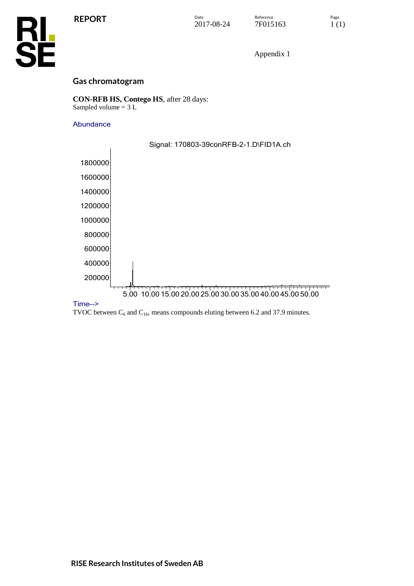

Appendix 1

### **Gas chromatogram**

**CON-RFB HS, Contego HS**, after 28 days: Sampled volume = 3 L

### Abundance



### Time-->

TVOC between  $C_6$  and  $C_{16}$ , means compounds eluting between 6.2 and 37.9 minutes.